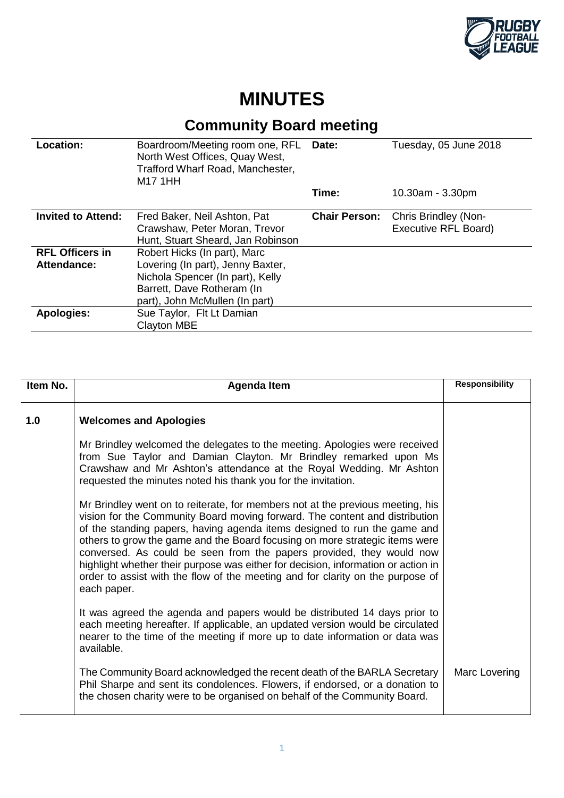

## **MINUTES**

## **Community Board meeting**

| Location:                 | Boardroom/Meeting room one, RFL<br>North West Offices, Quay West,<br>Trafford Wharf Road, Manchester,<br><b>M17 1HH</b> | Date:                | Tuesday, 05 June 2018 |
|---------------------------|-------------------------------------------------------------------------------------------------------------------------|----------------------|-----------------------|
|                           |                                                                                                                         | Time:                | 10.30am - 3.30pm      |
| <b>Invited to Attend:</b> | Fred Baker, Neil Ashton, Pat                                                                                            | <b>Chair Person:</b> | Chris Brindley (Non-  |
|                           | Crawshaw, Peter Moran, Trevor                                                                                           |                      | Executive RFL Board)  |
|                           | Hunt, Stuart Sheard, Jan Robinson                                                                                       |                      |                       |
| <b>RFL Officers in</b>    | Robert Hicks (In part), Marc                                                                                            |                      |                       |
| Attendance:               | Lovering (In part), Jenny Baxter,                                                                                       |                      |                       |
|                           | Nichola Spencer (In part), Kelly                                                                                        |                      |                       |
|                           | Barrett, Dave Rotheram (In                                                                                              |                      |                       |
|                           | part), John McMullen (In part)                                                                                          |                      |                       |
| <b>Apologies:</b>         | Sue Taylor, Flt Lt Damian                                                                                               |                      |                       |
|                           | <b>Clayton MBE</b>                                                                                                      |                      |                       |

| Item No. | <b>Agenda Item</b>                                                                                                                                                                                                                                                                                                                                                                                                                                                                                                                                                                     | <b>Responsibility</b> |
|----------|----------------------------------------------------------------------------------------------------------------------------------------------------------------------------------------------------------------------------------------------------------------------------------------------------------------------------------------------------------------------------------------------------------------------------------------------------------------------------------------------------------------------------------------------------------------------------------------|-----------------------|
| 1.0      | <b>Welcomes and Apologies</b>                                                                                                                                                                                                                                                                                                                                                                                                                                                                                                                                                          |                       |
|          | Mr Brindley welcomed the delegates to the meeting. Apologies were received<br>from Sue Taylor and Damian Clayton. Mr Brindley remarked upon Ms<br>Crawshaw and Mr Ashton's attendance at the Royal Wedding. Mr Ashton<br>requested the minutes noted his thank you for the invitation.                                                                                                                                                                                                                                                                                                 |                       |
|          | Mr Brindley went on to reiterate, for members not at the previous meeting, his<br>vision for the Community Board moving forward. The content and distribution<br>of the standing papers, having agenda items designed to run the game and<br>others to grow the game and the Board focusing on more strategic items were<br>conversed. As could be seen from the papers provided, they would now<br>highlight whether their purpose was either for decision, information or action in<br>order to assist with the flow of the meeting and for clarity on the purpose of<br>each paper. |                       |
|          | It was agreed the agenda and papers would be distributed 14 days prior to<br>each meeting hereafter. If applicable, an updated version would be circulated<br>nearer to the time of the meeting if more up to date information or data was<br>available.                                                                                                                                                                                                                                                                                                                               |                       |
|          | The Community Board acknowledged the recent death of the BARLA Secretary<br>Phil Sharpe and sent its condolences. Flowers, if endorsed, or a donation to<br>the chosen charity were to be organised on behalf of the Community Board.                                                                                                                                                                                                                                                                                                                                                  | Marc Lovering         |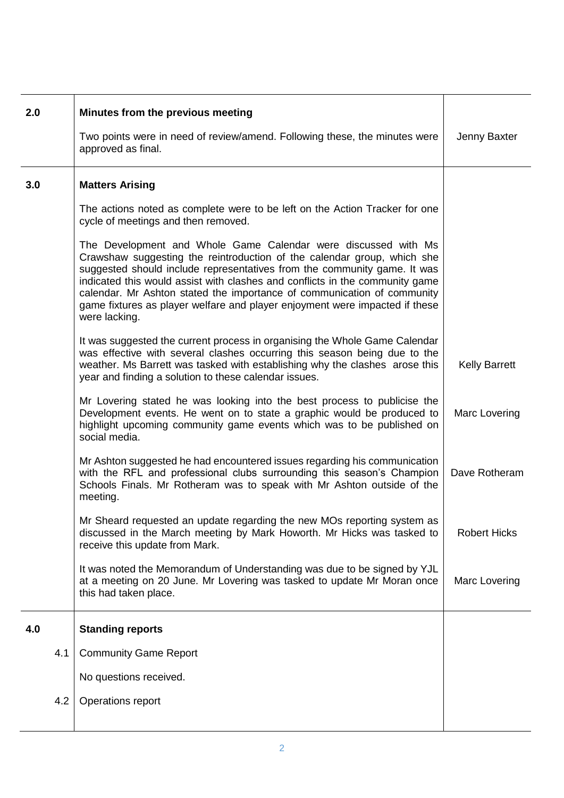| 2.0 | Minutes from the previous meeting<br>Two points were in need of review/amend. Following these, the minutes were                                                                                                                                                                                                                                                                                                                                                                  | Jenny Baxter         |
|-----|----------------------------------------------------------------------------------------------------------------------------------------------------------------------------------------------------------------------------------------------------------------------------------------------------------------------------------------------------------------------------------------------------------------------------------------------------------------------------------|----------------------|
|     | approved as final.                                                                                                                                                                                                                                                                                                                                                                                                                                                               |                      |
| 3.0 | <b>Matters Arising</b>                                                                                                                                                                                                                                                                                                                                                                                                                                                           |                      |
|     | The actions noted as complete were to be left on the Action Tracker for one<br>cycle of meetings and then removed.                                                                                                                                                                                                                                                                                                                                                               |                      |
|     | The Development and Whole Game Calendar were discussed with Ms<br>Crawshaw suggesting the reintroduction of the calendar group, which she<br>suggested should include representatives from the community game. It was<br>indicated this would assist with clashes and conflicts in the community game<br>calendar. Mr Ashton stated the importance of communication of community<br>game fixtures as player welfare and player enjoyment were impacted if these<br>were lacking. |                      |
|     | It was suggested the current process in organising the Whole Game Calendar<br>was effective with several clashes occurring this season being due to the<br>weather. Ms Barrett was tasked with establishing why the clashes arose this<br>year and finding a solution to these calendar issues.                                                                                                                                                                                  | <b>Kelly Barrett</b> |
|     | Mr Lovering stated he was looking into the best process to publicise the<br>Development events. He went on to state a graphic would be produced to<br>highlight upcoming community game events which was to be published on<br>social media.                                                                                                                                                                                                                                     | Marc Lovering        |
|     | Mr Ashton suggested he had encountered issues regarding his communication<br>with the RFL and professional clubs surrounding this season's Champion<br>Schools Finals. Mr Rotheram was to speak with Mr Ashton outside of the<br>meeting.                                                                                                                                                                                                                                        | Dave Rotheram        |
|     | Mr Sheard requested an update regarding the new MOs reporting system as<br>discussed in the March meeting by Mark Howorth. Mr Hicks was tasked to<br>receive this update from Mark.                                                                                                                                                                                                                                                                                              | <b>Robert Hicks</b>  |
|     | It was noted the Memorandum of Understanding was due to be signed by YJL<br>at a meeting on 20 June. Mr Lovering was tasked to update Mr Moran once<br>this had taken place.                                                                                                                                                                                                                                                                                                     | Marc Lovering        |
| 4.0 | <b>Standing reports</b>                                                                                                                                                                                                                                                                                                                                                                                                                                                          |                      |
| 4.1 | <b>Community Game Report</b>                                                                                                                                                                                                                                                                                                                                                                                                                                                     |                      |
|     | No questions received.                                                                                                                                                                                                                                                                                                                                                                                                                                                           |                      |
| 4.2 | Operations report                                                                                                                                                                                                                                                                                                                                                                                                                                                                |                      |
|     |                                                                                                                                                                                                                                                                                                                                                                                                                                                                                  |                      |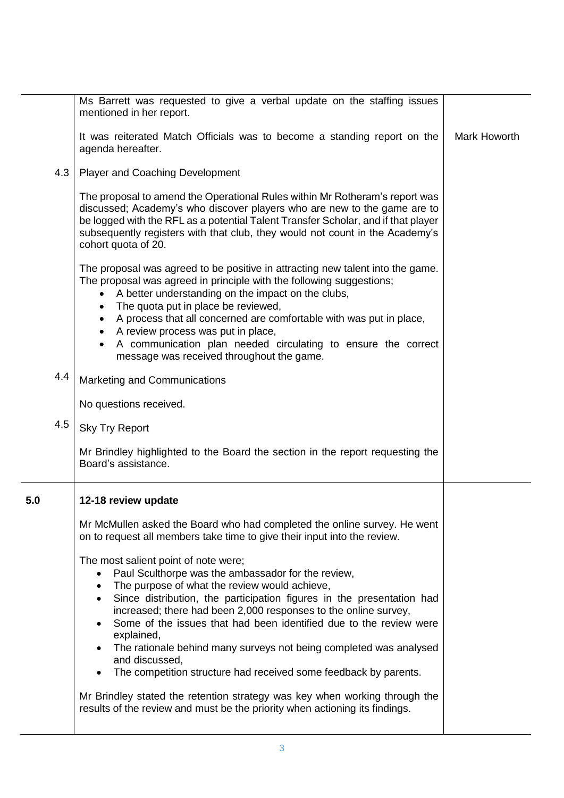|     | Ms Barrett was requested to give a verbal update on the staffing issues<br>mentioned in her report.                                                                                                                                                                                                                                                 |              |
|-----|-----------------------------------------------------------------------------------------------------------------------------------------------------------------------------------------------------------------------------------------------------------------------------------------------------------------------------------------------------|--------------|
|     | It was reiterated Match Officials was to become a standing report on the<br>agenda hereafter.                                                                                                                                                                                                                                                       | Mark Howorth |
| 4.3 | <b>Player and Coaching Development</b>                                                                                                                                                                                                                                                                                                              |              |
|     | The proposal to amend the Operational Rules within Mr Rotheram's report was<br>discussed; Academy's who discover players who are new to the game are to<br>be logged with the RFL as a potential Talent Transfer Scholar, and if that player<br>subsequently registers with that club, they would not count in the Academy's<br>cohort quota of 20. |              |
|     | The proposal was agreed to be positive in attracting new talent into the game.<br>The proposal was agreed in principle with the following suggestions;<br>A better understanding on the impact on the clubs,<br>$\bullet$<br>The quota put in place be reviewed,<br>$\bullet$                                                                       |              |
|     | • A process that all concerned are comfortable with was put in place,                                                                                                                                                                                                                                                                               |              |
|     | • A review process was put in place,<br>A communication plan needed circulating to ensure the correct<br>message was received throughout the game.                                                                                                                                                                                                  |              |
| 4.4 | Marketing and Communications                                                                                                                                                                                                                                                                                                                        |              |
|     | No questions received.                                                                                                                                                                                                                                                                                                                              |              |
| 4.5 | <b>Sky Try Report</b>                                                                                                                                                                                                                                                                                                                               |              |
|     | Mr Brindley highlighted to the Board the section in the report requesting the<br>Board's assistance.                                                                                                                                                                                                                                                |              |
| 5.0 | 12-18 review update                                                                                                                                                                                                                                                                                                                                 |              |
|     | Mr McMullen asked the Board who had completed the online survey. He went<br>on to request all members take time to give their input into the review.                                                                                                                                                                                                |              |
|     | The most salient point of note were;                                                                                                                                                                                                                                                                                                                |              |
|     | Paul Sculthorpe was the ambassador for the review,<br>The purpose of what the review would achieve,                                                                                                                                                                                                                                                 |              |
|     | Since distribution, the participation figures in the presentation had                                                                                                                                                                                                                                                                               |              |
|     | increased; there had been 2,000 responses to the online survey,<br>Some of the issues that had been identified due to the review were<br>explained,                                                                                                                                                                                                 |              |
|     | The rationale behind many surveys not being completed was analysed<br>and discussed,                                                                                                                                                                                                                                                                |              |
|     | The competition structure had received some feedback by parents.                                                                                                                                                                                                                                                                                    |              |
|     | Mr Brindley stated the retention strategy was key when working through the<br>results of the review and must be the priority when actioning its findings.                                                                                                                                                                                           |              |
|     |                                                                                                                                                                                                                                                                                                                                                     |              |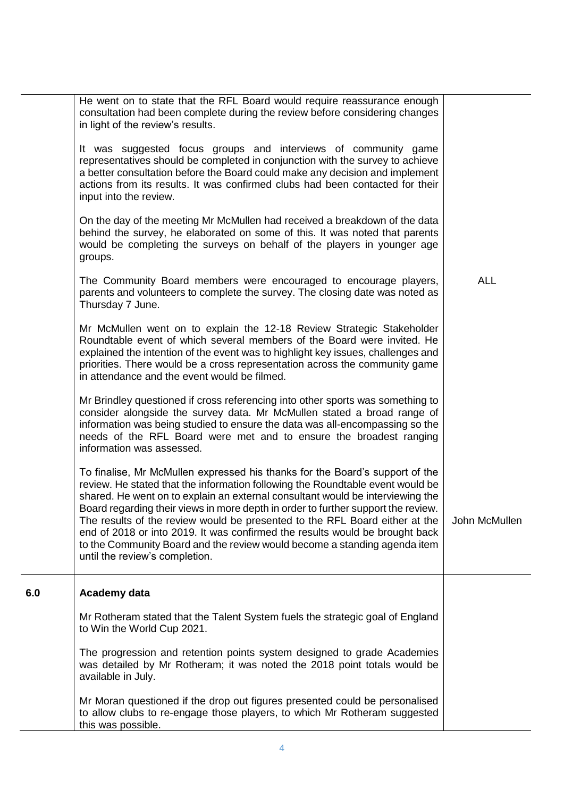|     | He went on to state that the RFL Board would require reassurance enough<br>consultation had been complete during the review before considering changes<br>in light of the review's results.                                                                                                                                                                                                                                                                                                                                                                                                                         |               |
|-----|---------------------------------------------------------------------------------------------------------------------------------------------------------------------------------------------------------------------------------------------------------------------------------------------------------------------------------------------------------------------------------------------------------------------------------------------------------------------------------------------------------------------------------------------------------------------------------------------------------------------|---------------|
|     | It was suggested focus groups and interviews of community game<br>representatives should be completed in conjunction with the survey to achieve<br>a better consultation before the Board could make any decision and implement<br>actions from its results. It was confirmed clubs had been contacted for their<br>input into the review.                                                                                                                                                                                                                                                                          |               |
|     | On the day of the meeting Mr McMullen had received a breakdown of the data<br>behind the survey, he elaborated on some of this. It was noted that parents<br>would be completing the surveys on behalf of the players in younger age<br>groups.                                                                                                                                                                                                                                                                                                                                                                     |               |
|     | The Community Board members were encouraged to encourage players,<br>parents and volunteers to complete the survey. The closing date was noted as<br>Thursday 7 June.                                                                                                                                                                                                                                                                                                                                                                                                                                               | <b>ALL</b>    |
|     | Mr McMullen went on to explain the 12-18 Review Strategic Stakeholder<br>Roundtable event of which several members of the Board were invited. He<br>explained the intention of the event was to highlight key issues, challenges and<br>priorities. There would be a cross representation across the community game<br>in attendance and the event would be filmed.                                                                                                                                                                                                                                                 |               |
|     | Mr Brindley questioned if cross referencing into other sports was something to<br>consider alongside the survey data. Mr McMullen stated a broad range of<br>information was being studied to ensure the data was all-encompassing so the<br>needs of the RFL Board were met and to ensure the broadest ranging<br>information was assessed.                                                                                                                                                                                                                                                                        |               |
|     | To finalise, Mr McMullen expressed his thanks for the Board's support of the<br>review. He stated that the information following the Roundtable event would be<br>shared. He went on to explain an external consultant would be interviewing the<br>Board regarding their views in more depth in order to further support the review.<br>The results of the review would be presented to the RFL Board either at the<br>end of 2018 or into 2019. It was confirmed the results would be brought back<br>to the Community Board and the review would become a standing agenda item<br>until the review's completion. | John McMullen |
| 6.0 | Academy data                                                                                                                                                                                                                                                                                                                                                                                                                                                                                                                                                                                                        |               |
|     | Mr Rotheram stated that the Talent System fuels the strategic goal of England<br>to Win the World Cup 2021.                                                                                                                                                                                                                                                                                                                                                                                                                                                                                                         |               |
|     | The progression and retention points system designed to grade Academies<br>was detailed by Mr Rotheram; it was noted the 2018 point totals would be<br>available in July.                                                                                                                                                                                                                                                                                                                                                                                                                                           |               |
|     | Mr Moran questioned if the drop out figures presented could be personalised<br>to allow clubs to re-engage those players, to which Mr Rotheram suggested<br>this was possible.                                                                                                                                                                                                                                                                                                                                                                                                                                      |               |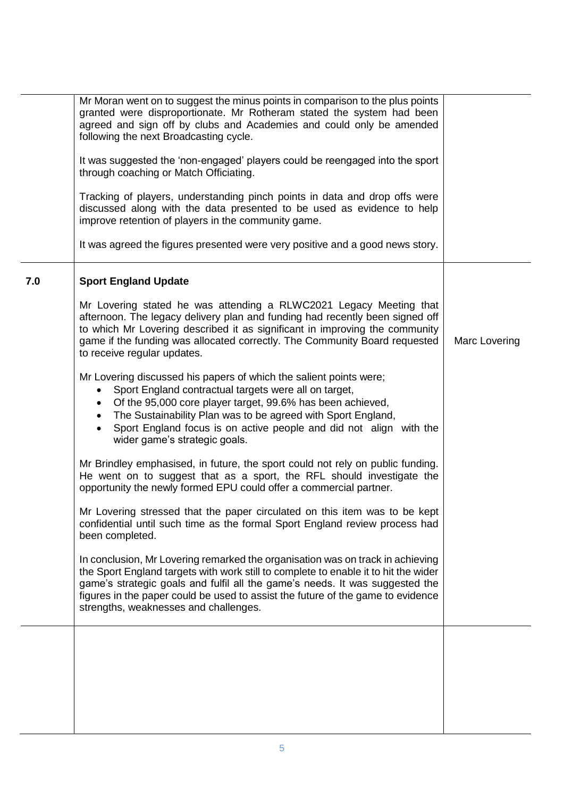|     | Mr Moran went on to suggest the minus points in comparison to the plus points<br>granted were disproportionate. Mr Rotheram stated the system had been<br>agreed and sign off by clubs and Academies and could only be amended<br>following the next Broadcasting cycle.<br>It was suggested the 'non-engaged' players could be reengaged into the sport<br>through coaching or Match Officiating.<br>Tracking of players, understanding pinch points in data and drop offs were<br>discussed along with the data presented to be used as evidence to help<br>improve retention of players in the community game.<br>It was agreed the figures presented were very positive and a good news story.                                                                                                                                                                                                                                                                                                                                                                                                                                                                                                                                                                                                                                                                                                                                                                                                                                                      |               |
|-----|---------------------------------------------------------------------------------------------------------------------------------------------------------------------------------------------------------------------------------------------------------------------------------------------------------------------------------------------------------------------------------------------------------------------------------------------------------------------------------------------------------------------------------------------------------------------------------------------------------------------------------------------------------------------------------------------------------------------------------------------------------------------------------------------------------------------------------------------------------------------------------------------------------------------------------------------------------------------------------------------------------------------------------------------------------------------------------------------------------------------------------------------------------------------------------------------------------------------------------------------------------------------------------------------------------------------------------------------------------------------------------------------------------------------------------------------------------------------------------------------------------------------------------------------------------|---------------|
| 7.0 | <b>Sport England Update</b><br>Mr Lovering stated he was attending a RLWC2021 Legacy Meeting that<br>afternoon. The legacy delivery plan and funding had recently been signed off<br>to which Mr Lovering described it as significant in improving the community<br>game if the funding was allocated correctly. The Community Board requested<br>to receive regular updates.<br>Mr Lovering discussed his papers of which the salient points were;<br>Sport England contractual targets were all on target,<br>Of the 95,000 core player target, 99.6% has been achieved,<br>The Sustainability Plan was to be agreed with Sport England,<br>Sport England focus is on active people and did not align with the<br>wider game's strategic goals.<br>Mr Brindley emphasised, in future, the sport could not rely on public funding.<br>He went on to suggest that as a sport, the RFL should investigate the<br>opportunity the newly formed EPU could offer a commercial partner.<br>Mr Lovering stressed that the paper circulated on this item was to be kept<br>confidential until such time as the formal Sport England review process had<br>been completed.<br>In conclusion, Mr Lovering remarked the organisation was on track in achieving<br>the Sport England targets with work still to complete to enable it to hit the wider<br>game's strategic goals and fulfil all the game's needs. It was suggested the<br>figures in the paper could be used to assist the future of the game to evidence<br>strengths, weaknesses and challenges. | Marc Lovering |
|     |                                                                                                                                                                                                                                                                                                                                                                                                                                                                                                                                                                                                                                                                                                                                                                                                                                                                                                                                                                                                                                                                                                                                                                                                                                                                                                                                                                                                                                                                                                                                                         |               |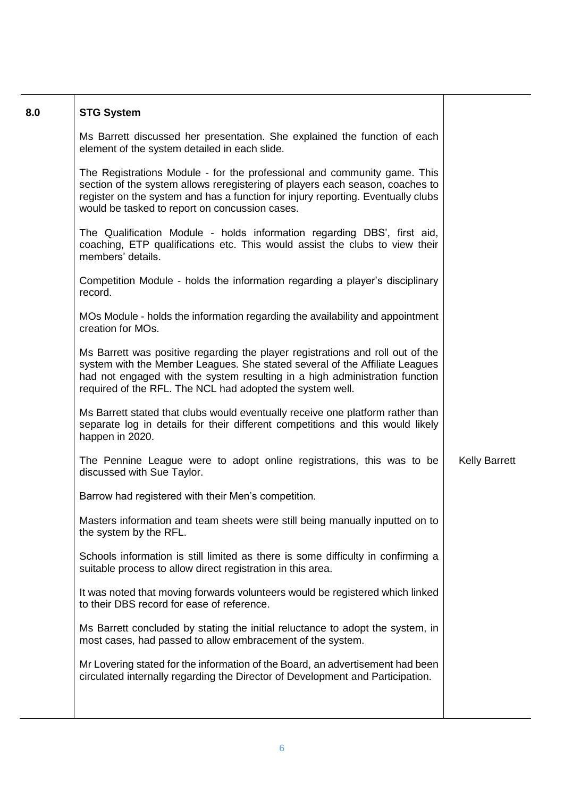| 8.0 | <b>STG System</b>                                                                                                                                                                                                                                                                                         |                      |
|-----|-----------------------------------------------------------------------------------------------------------------------------------------------------------------------------------------------------------------------------------------------------------------------------------------------------------|----------------------|
|     | Ms Barrett discussed her presentation. She explained the function of each<br>element of the system detailed in each slide.                                                                                                                                                                                |                      |
|     | The Registrations Module - for the professional and community game. This<br>section of the system allows reregistering of players each season, coaches to<br>register on the system and has a function for injury reporting. Eventually clubs<br>would be tasked to report on concussion cases.           |                      |
|     | The Qualification Module - holds information regarding DBS', first aid,<br>coaching, ETP qualifications etc. This would assist the clubs to view their<br>members' details.                                                                                                                               |                      |
|     | Competition Module - holds the information regarding a player's disciplinary<br>record.                                                                                                                                                                                                                   |                      |
|     | MOs Module - holds the information regarding the availability and appointment<br>creation for MOs.                                                                                                                                                                                                        |                      |
|     | Ms Barrett was positive regarding the player registrations and roll out of the<br>system with the Member Leagues. She stated several of the Affiliate Leagues<br>had not engaged with the system resulting in a high administration function<br>required of the RFL. The NCL had adopted the system well. |                      |
|     | Ms Barrett stated that clubs would eventually receive one platform rather than<br>separate log in details for their different competitions and this would likely<br>happen in 2020.                                                                                                                       |                      |
|     | The Pennine League were to adopt online registrations, this was to be<br>discussed with Sue Taylor.                                                                                                                                                                                                       | <b>Kelly Barrett</b> |
|     | Barrow had registered with their Men's competition.                                                                                                                                                                                                                                                       |                      |
|     | Masters information and team sheets were still being manually inputted on to<br>the system by the RFL.                                                                                                                                                                                                    |                      |
|     | Schools information is still limited as there is some difficulty in confirming a<br>suitable process to allow direct registration in this area.                                                                                                                                                           |                      |
|     | It was noted that moving forwards volunteers would be registered which linked<br>to their DBS record for ease of reference.                                                                                                                                                                               |                      |
|     | Ms Barrett concluded by stating the initial reluctance to adopt the system, in<br>most cases, had passed to allow embracement of the system.                                                                                                                                                              |                      |
|     | Mr Lovering stated for the information of the Board, an advertisement had been<br>circulated internally regarding the Director of Development and Participation.                                                                                                                                          |                      |
|     |                                                                                                                                                                                                                                                                                                           |                      |

Т

┑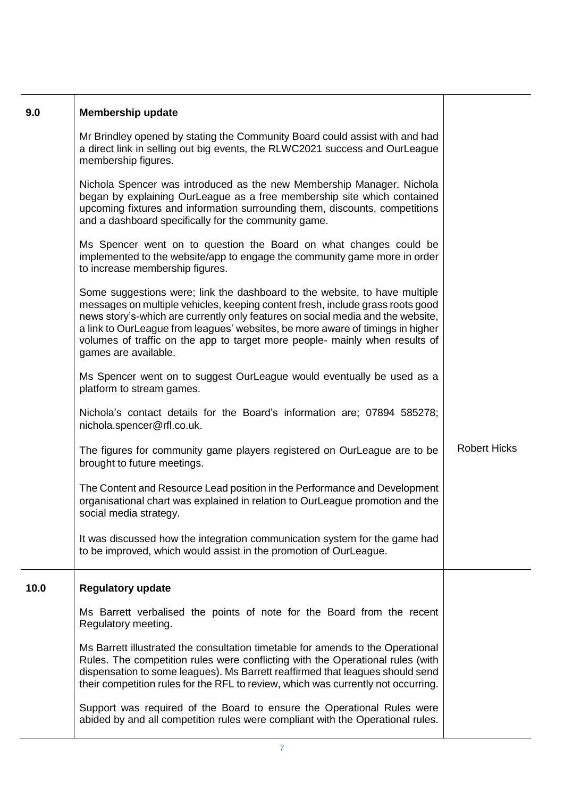| 9.0  | <b>Membership update</b>                                                                                                                                                                                                                                                                                                                                                                                                                 |                     |
|------|------------------------------------------------------------------------------------------------------------------------------------------------------------------------------------------------------------------------------------------------------------------------------------------------------------------------------------------------------------------------------------------------------------------------------------------|---------------------|
|      | Mr Brindley opened by stating the Community Board could assist with and had<br>a direct link in selling out big events, the RLWC2021 success and OurLeague<br>membership figures.                                                                                                                                                                                                                                                        |                     |
|      | Nichola Spencer was introduced as the new Membership Manager. Nichola<br>began by explaining OurLeague as a free membership site which contained<br>upcoming fixtures and information surrounding them, discounts, competitions<br>and a dashboard specifically for the community game.                                                                                                                                                  |                     |
|      | Ms Spencer went on to question the Board on what changes could be<br>implemented to the website/app to engage the community game more in order<br>to increase membership figures.                                                                                                                                                                                                                                                        |                     |
|      | Some suggestions were; link the dashboard to the website, to have multiple<br>messages on multiple vehicles, keeping content fresh, include grass roots good<br>news story's-which are currently only features on social media and the website,<br>a link to OurLeague from leagues' websites, be more aware of timings in higher<br>volumes of traffic on the app to target more people- mainly when results of<br>games are available. |                     |
|      | Ms Spencer went on to suggest OurLeague would eventually be used as a<br>platform to stream games.                                                                                                                                                                                                                                                                                                                                       |                     |
|      | Nichola's contact details for the Board's information are; 07894 585278;<br>nichola.spencer@rfl.co.uk.                                                                                                                                                                                                                                                                                                                                   |                     |
|      | The figures for community game players registered on OurLeague are to be<br>brought to future meetings.                                                                                                                                                                                                                                                                                                                                  | <b>Robert Hicks</b> |
|      | The Content and Resource Lead position in the Performance and Development<br>organisational chart was explained in relation to OurLeague promotion and the<br>social media strategy.                                                                                                                                                                                                                                                     |                     |
|      | It was discussed how the integration communication system for the game had<br>to be improved, which would assist in the promotion of OurLeague.                                                                                                                                                                                                                                                                                          |                     |
| 10.0 | <b>Regulatory update</b>                                                                                                                                                                                                                                                                                                                                                                                                                 |                     |
|      | Ms Barrett verbalised the points of note for the Board from the recent<br>Regulatory meeting.                                                                                                                                                                                                                                                                                                                                            |                     |
|      | Ms Barrett illustrated the consultation timetable for amends to the Operational<br>Rules. The competition rules were conflicting with the Operational rules (with<br>dispensation to some leagues). Ms Barrett reaffirmed that leagues should send<br>their competition rules for the RFL to review, which was currently not occurring.                                                                                                  |                     |
|      | Support was required of the Board to ensure the Operational Rules were<br>abided by and all competition rules were compliant with the Operational rules.                                                                                                                                                                                                                                                                                 |                     |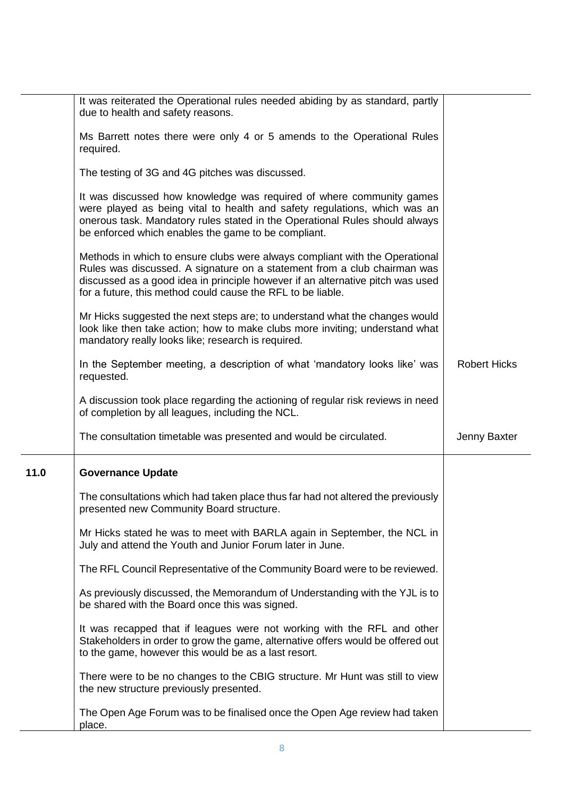|      | It was reiterated the Operational rules needed abiding by as standard, partly<br>due to health and safety reasons.                                                                                                                                                                                       |                     |
|------|----------------------------------------------------------------------------------------------------------------------------------------------------------------------------------------------------------------------------------------------------------------------------------------------------------|---------------------|
|      | Ms Barrett notes there were only 4 or 5 amends to the Operational Rules<br>required.                                                                                                                                                                                                                     |                     |
|      | The testing of 3G and 4G pitches was discussed.                                                                                                                                                                                                                                                          |                     |
|      | It was discussed how knowledge was required of where community games<br>were played as being vital to health and safety regulations, which was an<br>onerous task. Mandatory rules stated in the Operational Rules should always<br>be enforced which enables the game to be compliant.                  |                     |
|      | Methods in which to ensure clubs were always compliant with the Operational<br>Rules was discussed. A signature on a statement from a club chairman was<br>discussed as a good idea in principle however if an alternative pitch was used<br>for a future, this method could cause the RFL to be liable. |                     |
|      | Mr Hicks suggested the next steps are; to understand what the changes would<br>look like then take action; how to make clubs more inviting; understand what<br>mandatory really looks like; research is required.                                                                                        |                     |
|      | In the September meeting, a description of what 'mandatory looks like' was<br>requested.                                                                                                                                                                                                                 | <b>Robert Hicks</b> |
|      | A discussion took place regarding the actioning of regular risk reviews in need<br>of completion by all leagues, including the NCL.                                                                                                                                                                      |                     |
|      | The consultation timetable was presented and would be circulated.                                                                                                                                                                                                                                        | Jenny Baxter        |
| 11.0 | <b>Governance Update</b>                                                                                                                                                                                                                                                                                 |                     |
|      | The consultations which had taken place thus far had not altered the previously<br>presented new Community Board structure.                                                                                                                                                                              |                     |
|      | Mr Hicks stated he was to meet with BARLA again in September, the NCL in<br>July and attend the Youth and Junior Forum later in June.                                                                                                                                                                    |                     |
|      | The RFL Council Representative of the Community Board were to be reviewed.                                                                                                                                                                                                                               |                     |
|      | As previously discussed, the Memorandum of Understanding with the YJL is to<br>be shared with the Board once this was signed.                                                                                                                                                                            |                     |
|      | It was recapped that if leagues were not working with the RFL and other<br>Stakeholders in order to grow the game, alternative offers would be offered out<br>to the game, however this would be as a last resort.                                                                                       |                     |
|      | There were to be no changes to the CBIG structure. Mr Hunt was still to view<br>the new structure previously presented.                                                                                                                                                                                  |                     |
|      | The Open Age Forum was to be finalised once the Open Age review had taken<br>place.                                                                                                                                                                                                                      |                     |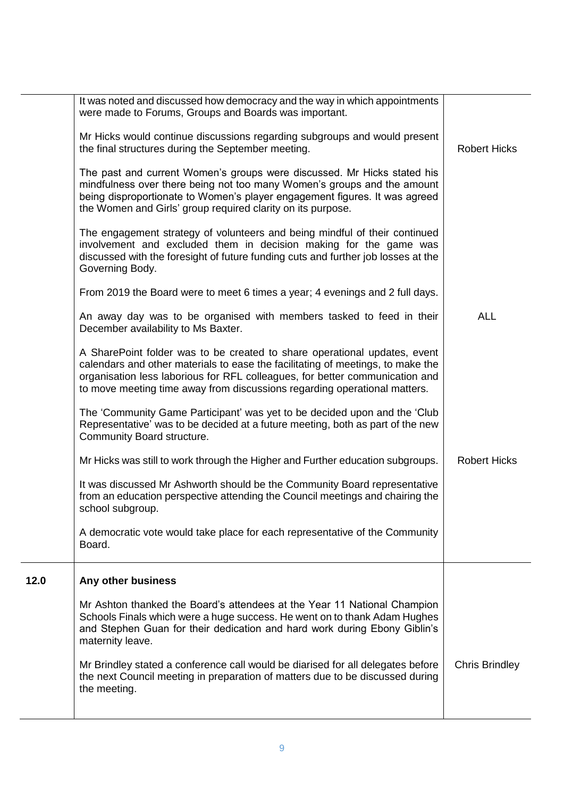|      | It was noted and discussed how democracy and the way in which appointments<br>were made to Forums, Groups and Boards was important.                                                                                                                                                                                       |                       |
|------|---------------------------------------------------------------------------------------------------------------------------------------------------------------------------------------------------------------------------------------------------------------------------------------------------------------------------|-----------------------|
|      | Mr Hicks would continue discussions regarding subgroups and would present<br>the final structures during the September meeting.                                                                                                                                                                                           | <b>Robert Hicks</b>   |
|      | The past and current Women's groups were discussed. Mr Hicks stated his<br>mindfulness over there being not too many Women's groups and the amount<br>being disproportionate to Women's player engagement figures. It was agreed<br>the Women and Girls' group required clarity on its purpose.                           |                       |
|      | The engagement strategy of volunteers and being mindful of their continued<br>involvement and excluded them in decision making for the game was<br>discussed with the foresight of future funding cuts and further job losses at the<br>Governing Body.                                                                   |                       |
|      | From 2019 the Board were to meet 6 times a year; 4 evenings and 2 full days.                                                                                                                                                                                                                                              |                       |
|      | An away day was to be organised with members tasked to feed in their<br>December availability to Ms Baxter.                                                                                                                                                                                                               | <b>ALL</b>            |
|      | A SharePoint folder was to be created to share operational updates, event<br>calendars and other materials to ease the facilitating of meetings, to make the<br>organisation less laborious for RFL colleagues, for better communication and<br>to move meeting time away from discussions regarding operational matters. |                       |
|      | The 'Community Game Participant' was yet to be decided upon and the 'Club<br>Representative' was to be decided at a future meeting, both as part of the new<br>Community Board structure.                                                                                                                                 |                       |
|      | Mr Hicks was still to work through the Higher and Further education subgroups.                                                                                                                                                                                                                                            | <b>Robert Hicks</b>   |
|      | It was discussed Mr Ashworth should be the Community Board representative<br>from an education perspective attending the Council meetings and chairing the<br>school subgroup.                                                                                                                                            |                       |
|      | A democratic vote would take place for each representative of the Community<br>Board.                                                                                                                                                                                                                                     |                       |
| 12.0 | Any other business                                                                                                                                                                                                                                                                                                        |                       |
|      | Mr Ashton thanked the Board's attendees at the Year 11 National Champion<br>Schools Finals which were a huge success. He went on to thank Adam Hughes<br>and Stephen Guan for their dedication and hard work during Ebony Giblin's<br>maternity leave.                                                                    |                       |
|      | Mr Brindley stated a conference call would be diarised for all delegates before<br>the next Council meeting in preparation of matters due to be discussed during<br>the meeting.                                                                                                                                          | <b>Chris Brindley</b> |
|      |                                                                                                                                                                                                                                                                                                                           |                       |